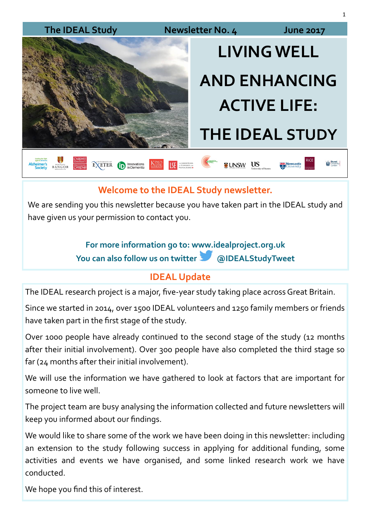

## **Welcome to the IDEAL Study newsletter.**

We are sending you this newsletter because you have taken part in the IDEAL study and have given us your permission to contact you.

## **For more information go to: www.idealproject.org.uk You can also follow us on twitter @IDEALStudyTweet**

## **IDEAL Update**

The IDEAL research project is a major, five-year study taking place across Great Britain.

Since we started in 2014, over 1500 IDEAL volunteers and 1250 family members or friends have taken part in the first stage of the study.

Over 1000 people have already continued to the second stage of the study (12 months after their initial involvement). Over 300 people have also completed the third stage so far (24 months after their initial involvement).

We will use the information we have gathered to look at factors that are important for someone to live well.

The project team are busy analysing the information collected and future newsletters will keep you informed about our findings.

We would like to share some of the work we have been doing in this newsletter: including an extension to the study following success in applying for additional funding, some activities and events we have organised, and some linked research work we have conducted.

We hope you find this of interest.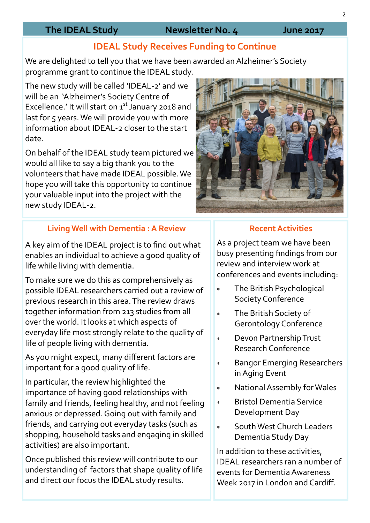### **The IDEAL Study Newsletter No. 4 June 2017**

## **IDEAL Study Receives Funding to Continue**

We are delighted to tell you that we have been awarded an Alzheimer's Society programme grant to continue the IDEAL study.

The new study will be called 'IDEAL-2' and we will be an 'Alzheimer's Society Centre of Excellence.' It will start on  $1<sup>st</sup>$  January 2018 and last for 5 years. We will provide you with more information about IDEAL-2 closer to the start date.

On behalf of the IDEAL study team pictured we would all like to say a big thank you to the volunteers that have made IDEAL possible.We hope you will take this opportunity to continue your valuable input into the project with the new study IDEAL-2.

#### **Living Well with Dementia : A Review**

A key aim of the IDEAL project is to find out what enables an individual to achieve a good quality of life while living with dementia.

To make sure we do this as comprehensively as possible IDEAL researchers carried out a review of previous research in this area. The review draws together information from 213 studies from all over the world. It looks at which aspects of everyday life most strongly relate to the quality of life of people living with dementia.

As you might expect, many different factors are important for a good quality of life.

In particular, the review highlighted the importance of having good relationships with family and friends, feeling healthy, and not feeling anxious or depressed. Going out with family and friends, and carrying out everyday tasks (such as shopping, household tasks and engaging in skilled activities) are also important.

Once published this review will contribute to our understanding of factors that shape quality of life and direct our focus the IDEAL study results.

#### **Recent Activities**

As a project team we have been busy presenting findings from our review and interview work at conferences and events including:

- The British Psychological Society Conference
- The British Society of Gerontology Conference
- Devon Partnership Trust Research Conference
- Bangor Emerging Researchers in Aging Event
- National Assembly for Wales
- Bristol Dementia Service Development Day
- South West Church Leaders Dementia Study Day

In addition to these activities, IDEAL researchers ran a number of events for Dementia Awareness Week 2017 in London and Cardiff.



2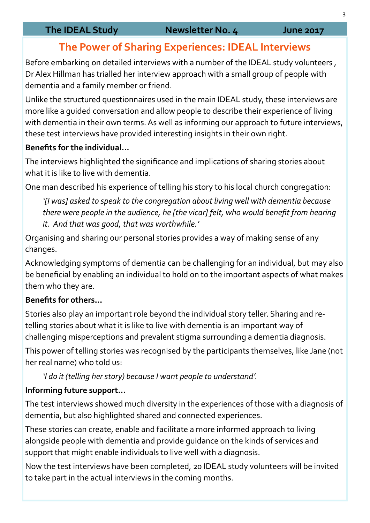# **The Power of Sharing Experiences: IDEAL Interviews**

Before embarking on detailed interviews with a number of the IDEAL study volunteers , Dr Alex Hillman has trialled her interview approach with a small group of people with dementia and a family member or friend.

Unlike the structured questionnaires used in the main IDEAL study, these interviews are more like a guided conversation and allow people to describe their experience of living with dementia in their own terms. As well as informing our approach to future interviews, these test interviews have provided interesting insights in their own right.

### **Benefits for the individual...**

The interviews highlighted the significance and implications of sharing stories about what it is like to live with dementia.

One man described his experience of telling his story to his local church congregation:

*'[I was] asked to speak to the congregation about living well with dementia because there were people in the audience, he [the vicar] felt, who would benefit from hearing it. And that was good, that was worthwhile.'*

Organising and sharing our personal stories provides a way of making sense of any changes.

Acknowledging symptoms of dementia can be challenging for an individual, but may also be beneficial by enabling an individual to hold on to the important aspects of what makes them who they are.

### **Benefits for others...**

Stories also play an important role beyond the individual story teller. Sharing and retelling stories about what it is like to live with dementia is an important way of challenging misperceptions and prevalent stigma surrounding a dementia diagnosis.

This power of telling stories was recognised by the participants themselves, like Jane (not her real name) who told us:

*'I do it (telling her story) because I want people to understand'.* 

### **Informing future support...**

The test interviews showed much diversity in the experiences of those with a diagnosis of dementia, but also highlighted shared and connected experiences.

These stories can create, enable and facilitate a more informed approach to living alongside people with dementia and provide guidance on the kinds of services and support that might enable individuals to live well with a diagnosis.

Now the test interviews have been completed, 20 IDEAL study volunteers will be invited to take part in the actual interviews in the coming months.